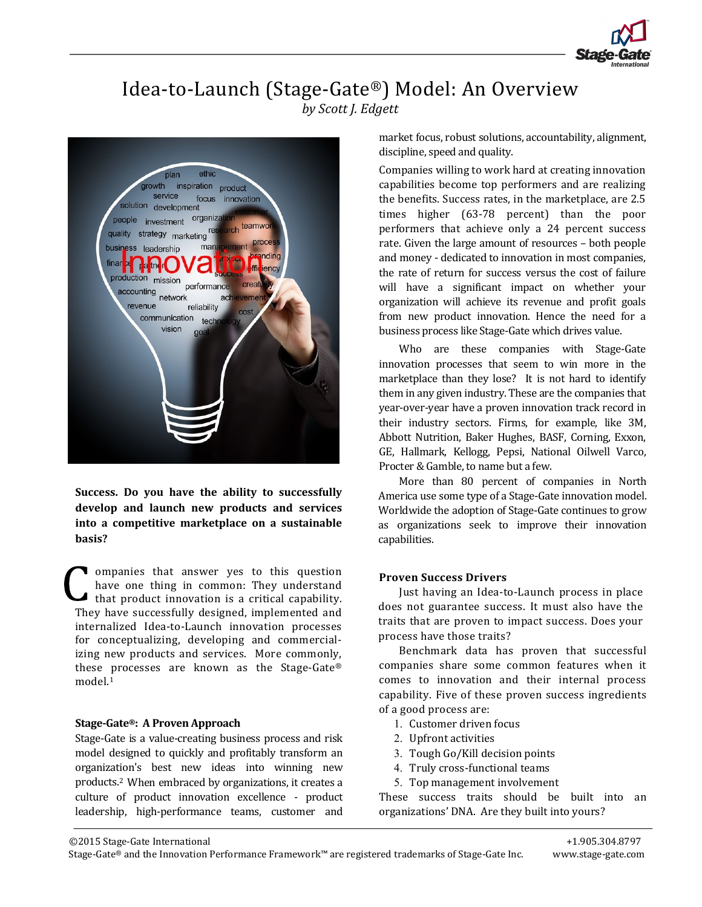

## Idea-to-Launch (Stage-Gate®) Model: An Overview *by Scott J. Edgett*



**Success. Do you have the ability to successfully develop and launch new products and services into a competitive marketplace on a sustainable basis?** 

ompanies that answer yes to this question have one thing in common: They understand that product innovation is a critical capability. They have successfully designed, implemented and internalized Idea-to-Launch innovation processes for conceptualizing, developing and commercializing new products and services. More commonly, these processes are known as the Stage-Gate® model.1 

#### **Stage‐Gate®: A Proven Approach**

Stage-Gate is a value-creating business process and risk model designed to quickly and profitably transform an organization's best new ideas into winning new products.<sup>2</sup> When embraced by organizations, it creates a culture of product innovation excellence - product leadership, high-performance teams, customer and

<u> 1989 - Johann Barn, amerikansk politiker (d. 1989)</u>

market focus, robust solutions, accountability, alignment, discipline, speed and quality.

Companies willing to work hard at creating innovation capabilities become top performers and are realizing the benefits. Success rates, in the marketplace, are 2.5 times higher (63-78 percent) than the poor performers that achieve only a 24 percent success rate. Given the large amount of resources – both people and money - dedicated to innovation in most companies, the rate of return for success versus the cost of failure will have a significant impact on whether your organization will achieve its revenue and profit goals from new product innovation. Hence the need for a business process like Stage-Gate which drives value.

Who are these companies with Stage-Gate innovation processes that seem to win more in the marketplace than they lose? It is not hard to identify them in any given industry. These are the companies that year-over-year have a proven innovation track record in their industry sectors. Firms, for example, like 3M, Abbott Nutrition, Baker Hughes, BASF, Corning, Exxon, GE, Hallmark, Kellogg, Pepsi, National Oilwell Varco, Procter & Gamble, to name but a few.

More than 80 percent of companies in North America use some type of a Stage-Gate innovation model. Worldwide the adoption of Stage-Gate continues to grow as organizations seek to improve their innovation capabilities. 

### **Proven Success Drivers**

Just having an Idea-to-Launch process in place does not guarantee success. It must also have the traits that are proven to impact success. Does your process have those traits?

Benchmark data has proven that successful companies share some common features when it comes to innovation and their internal process capability. Five of these proven success ingredients of a good process are:

- 1. Customer driven focus
- 2. Upfront activities
- 3. Tough Go/Kill decision points
- 4. Truly cross-functional teams
- 5. Top management involvement

These success traits should be built into an organizations' DNA. Are they built into yours?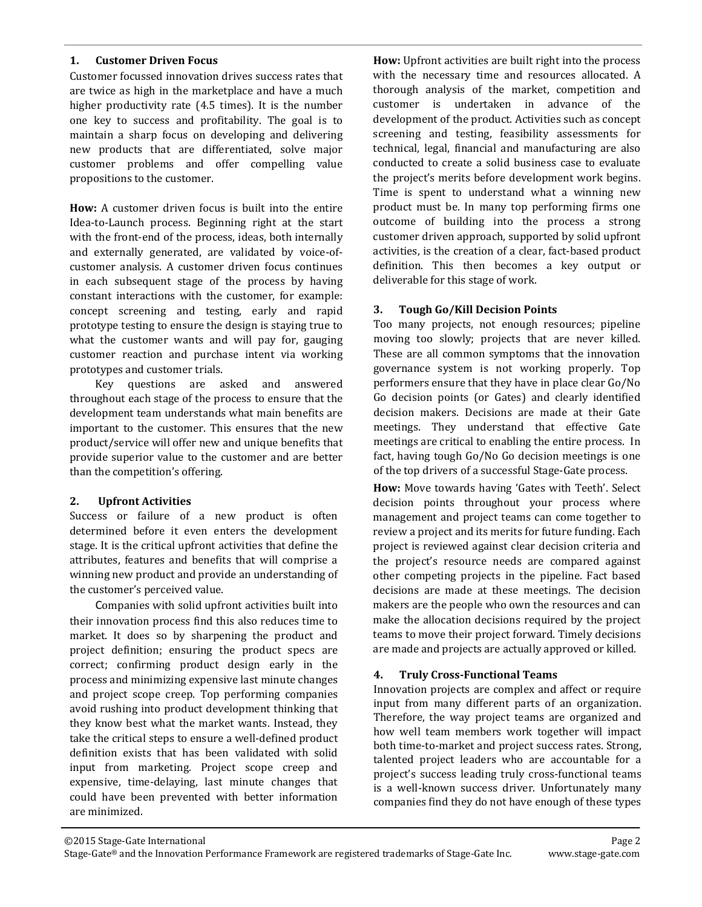### **1. Customer Driven Focus**

Customer focussed innovation drives success rates that are twice as high in the marketplace and have a much higher productivity rate  $(4.5 \times)$ . It is the number one key to success and profitability. The goal is to maintain a sharp focus on developing and delivering new products that are differentiated, solve major customer problems and offer compelling value propositions to the customer.

How: A customer driven focus is built into the entire Idea-to-Launch process. Beginning right at the start with the front-end of the process, ideas, both internally and externally generated, are validated by voice-ofcustomer analysis. A customer driven focus continues in each subsequent stage of the process by having constant interactions with the customer, for example: concept screening and testing, early and rapid prototype testing to ensure the design is staying true to what the customer wants and will pay for, gauging customer reaction and purchase intent via working prototypes and customer trials.

 Key questions are asked and answered throughout each stage of the process to ensure that the development team understands what main benefits are important to the customer. This ensures that the new product/service will offer new and unique benefits that provide superior value to the customer and are better than the competition's offering.

## **2. Upfront Activities**

Success or failure of a new product is often determined before it even enters the development stage. It is the critical upfront activities that define the attributes, features and benefits that will comprise a winning new product and provide an understanding of the customer's perceived value.

Companies with solid upfront activities built into their innovation process find this also reduces time to market. It does so by sharpening the product and project definition; ensuring the product specs are correct; confirming product design early in the process and minimizing expensive last minute changes and project scope creep. Top performing companies avoid rushing into product development thinking that they know best what the market wants. Instead, they take the critical steps to ensure a well-defined product definition exists that has been validated with solid input from marketing. Project scope creep and expensive, time-delaying, last minute changes that could have been prevented with better information are minimized.

**How:** Upfront activities are built right into the process with the necessary time and resources allocated. A thorough analysis of the market, competition and customer is undertaken in advance of the development of the product. Activities such as concept screening and testing, feasibility assessments for technical, legal, financial and manufacturing are also conducted to create a solid business case to evaluate the project's merits before development work begins. Time is spent to understand what a winning new product must be. In many top performing firms one outcome of building into the process a strong customer driven approach, supported by solid upfront activities, is the creation of a clear, fact-based product definition. This then becomes a key output or deliverable for this stage of work.

## **3. Tough Go/Kill Decision Points**

Too many projects, not enough resources; pipeline moving too slowly; projects that are never killed. These are all common symptoms that the innovation governance system is not working properly. Top performers ensure that they have in place clear Go/No Go decision points (or Gates) and clearly identified decision makers. Decisions are made at their Gate meetings. They understand that effective Gate meetings are critical to enabling the entire process. In fact, having tough Go/No Go decision meetings is one of the top drivers of a successful Stage-Gate process.

How: Move towards having 'Gates with Teeth'. Select decision points throughout your process where management and project teams can come together to review a project and its merits for future funding. Each project is reviewed against clear decision criteria and the project's resource needs are compared against other competing projects in the pipeline. Fact based decisions are made at these meetings. The decision makers are the people who own the resources and can make the allocation decisions required by the project teams to move their project forward. Timely decisions are made and projects are actually approved or killed.

## **4. Truly Cross‐Functional Teams**

Innovation projects are complex and affect or require input from many different parts of an organization. Therefore, the way project teams are organized and how well team members work together will impact both time-to-market and project success rates. Strong, talented project leaders who are accountable for a project's success leading truly cross-functional teams is a well-known success driver. Unfortunately many companies find they do not have enough of these types

 

©2015 Stage‐Gate International Page 2 Stage-Gate® and the Innovation Performance Framework are registered trademarks of Stage-Gate Inc. www.stage-gate.com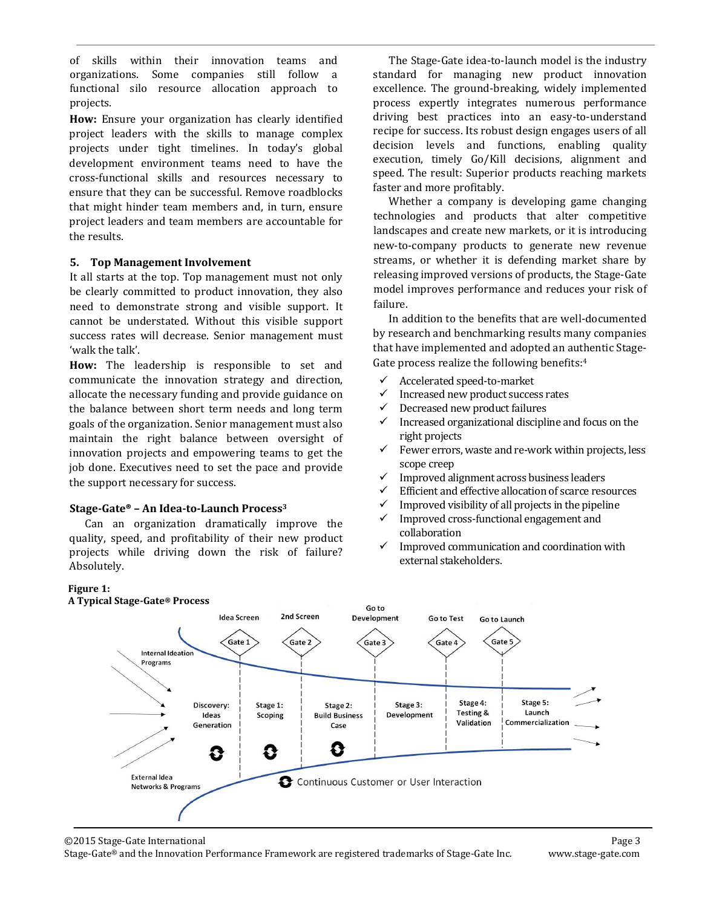of skills within their innovation teams and organizations. Some companies still follow a functional silo resource allocation approach to projects. 

How: Ensure your organization has clearly identified project leaders with the skills to manage complex projects under tight timelines. In today's global development environment teams need to have the cross‐functional skills and resources necessary to ensure that they can be successful. Remove roadblocks that might hinder team members and, in turn, ensure project leaders and team members are accountable for the results.

## **5. Top Management Involvement**

It all starts at the top. Top management must not only be clearly committed to product innovation, they also need to demonstrate strong and visible support. It cannot be understated. Without this visible support success rates will decrease. Senior management must 'walk the talk'.

**How:** The leadership is responsible to set and communicate the innovation strategy and direction, allocate the necessary funding and provide guidance on the balance between short term needs and long term goals of the organization. Senior management must also maintain the right balance between oversight of innovation projects and empowering teams to get the job done. Executives need to set the pace and provide the support necessary for success.

## **Stage‐Gate® – An Idea‐to‐Launch Process3**

 Can an organization dramatically improve the quality, speed, and profitability of their new product projects while driving down the risk of failure? Absolutely. 

The Stage-Gate idea-to-launch model is the industry standard for managing new product innovation excellence. The ground-breaking, widely implemented process expertly integrates numerous performance driving best practices into an easy-to-understand recipe for success. Its robust design engages users of all decision levels and functions, enabling quality execution, timely Go/Kill decisions, alignment and speed. The result: Superior products reaching markets faster and more profitably.

Whether a company is developing game changing technologies and products that alter competitive landscapes and create new markets, or it is introducing new-to-company products to generate new revenue streams, or whether it is defending market share by releasing improved versions of products, the Stage-Gate model improves performance and reduces your risk of failure. 

In addition to the benefits that are well-documented by research and benchmarking results many companies that have implemented and adopted an authentic Stage-Gate process realize the following benefits: $4$ 

- $\checkmark$  Accelerated speed-to-market
- $\checkmark$  Increased new product success rates
- Decreased new product failures
- $\checkmark$  Increased organizational discipline and focus on the right projects
- $\checkmark$  Fewer errors, waste and re-work within projects, less scope creep
- $\checkmark$  Improved alignment across business leaders
- $\checkmark$  Efficient and effective allocation of scarce resources
- Improved visibility of all projects in the pipeline
- $\checkmark$  Improved cross-functional engagement and collaboration
- $\checkmark$  Improved communication and coordination with external stakeholders.

#### en de la provincia de la construcción de la construcción de la construcción de la construcción de la construcc<br>En la construcción **Figure** 1:

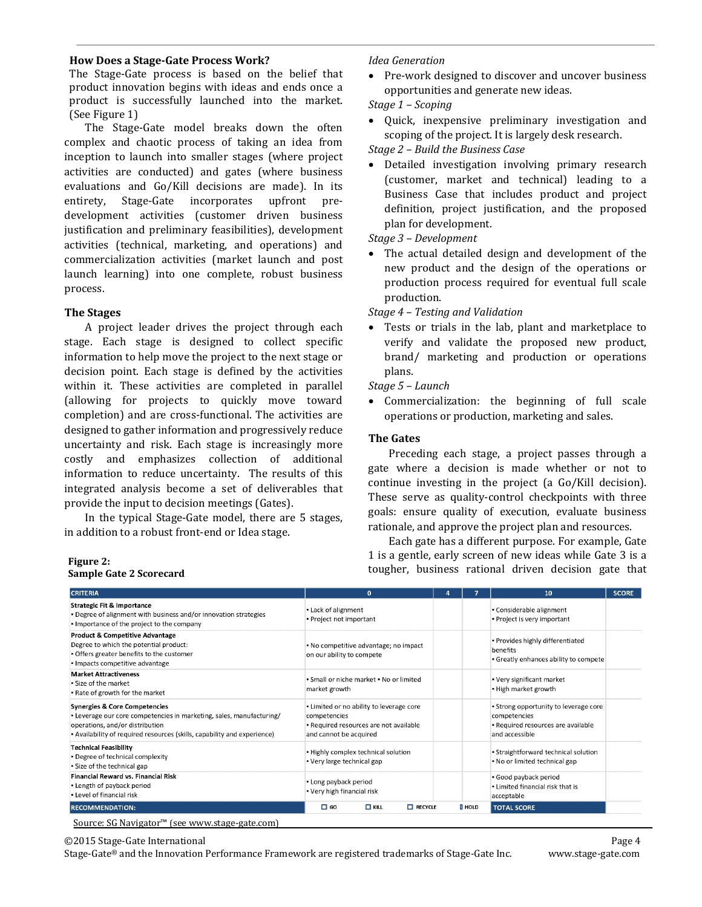#### **How Does a Stage‐Gate Process Work?**

The Stage-Gate process is based on the belief that product innovation begins with ideas and ends once a product is successfully launched into the market. (See Figure 1)

The Stage-Gate model breaks down the often complex and chaotic process of taking an idea from inception to launch into smaller stages (where project activities are conducted) and gates (where business evaluations and Go/Kill decisions are made). In its entirety, Stage-Gate incorporates upfront predevelopment activities (customer driven business justification and preliminary feasibilities), development activities (technical, marketing, and operations) and commercialization activities (market launch and post launch learning) into one complete, robust business process. 

#### **The Stages**

A project leader drives the project through each stage. Each stage is designed to collect specific information to help move the project to the next stage or decision point. Each stage is defined by the activities within it. These activities are completed in parallel (allowing for projects to quickly move toward completion) and are cross-functional. The activities are designed to gather information and progressively reduce uncertainty and risk. Each stage is increasingly more costly and emphasizes collection of additional information to reduce uncertainty. The results of this integrated analysis become a set of deliverables that provide the input to decision meetings (Gates).

In the typical Stage-Gate model, there are 5 stages, in addition to a robust front-end or Idea stage.

# **Sample Gate 2 Scorecard**

#### *Idea Generation*

• Pre-work designed to discover and uncover business opportunities and generate new ideas.

## *Stage 1 – Scoping*

Quick, inexpensive preliminary investigation and scoping of the project. It is largely desk research.

*Stage 2 – Build the Business Case*

Detailed investigation involving primary research (customer, market and technical) leading to a Business Case that includes product and project definition, project justification, and the proposed plan for development.

*Stage 3 – Development*

• The actual detailed design and development of the new product and the design of the operations or production process required for eventual full scale production. 

*Stage 4 – Testing and Validation*

• Tests or trials in the lab, plant and marketplace to verify and validate the proposed new product, brand/ marketing and production or operations plans. 

*Stage 5 – Launch*

• Commercialization: the beginning of full scale operations or production, marketing and sales.

#### **The Gates**

Preceding each stage, a project passes through a gate where a decision is made whether or not to continue investing in the project (a Go/Kill decision). These serve as quality-control checkpoints with three goals: ensure quality of execution, evaluate business rationale, and approve the project plan and resources.

Each gate has a different purpose. For example, Gate 1 is a gentle, early screen of new ideas while Gate 3 is a Figure 2:<br> **Figure** 2:<br> **Sample Cate 2 Scorecard**<br> **Sample Cate 2 Scorecard**<br> **Figure**  $\frac{1}{2}$  is a gentic, carry setted of new ideas wind date 5 is a

 

| <b>CRITERIA</b>                                                                                                                                                                                                                 | $\Omega$                                                                                                                     |               | 10                                                                                                            | <b>SCORE</b> |
|---------------------------------------------------------------------------------------------------------------------------------------------------------------------------------------------------------------------------------|------------------------------------------------------------------------------------------------------------------------------|---------------|---------------------------------------------------------------------------------------------------------------|--------------|
| <b>Strategic Fit &amp; Importance</b><br>. Degree of alignment with business and/or innovation strategies<br>. Importance of the project to the company                                                                         | . Lack of alignment<br>• Project not important                                                                               |               | • Considerable alignment<br>. Project is very important                                                       |              |
| <b>Product &amp; Competitive Advantage</b><br>Degree to which the potential product:<br>. Offers greater benefits to the customer<br>· Impacts competitive advantage                                                            | . No competitive advantage; no impact<br>on our ability to compete                                                           |               | . Provides highly differentiated<br>benefits<br>· Greatly enhances ability to compete                         |              |
| <b>Market Attractiveness</b><br>. Size of the market<br>. Rate of growth for the market                                                                                                                                         | • Small or niche market • No or limited<br>market growth                                                                     |               | • Very significant market<br>. High market growth                                                             |              |
| <b>Synergies &amp; Core Competencies</b><br>• Leverage our core competencies in marketing, sales, manufacturing/<br>operations, and/or distribution<br>- Availability of required resources (skills, capability and experience) | . Limited or no ability to leverage core<br>competencies<br>. Required resources are not available<br>and cannot be acquired |               | . Strong opportunity to leverage core<br>competencies<br>· Required resources are available<br>and accessible |              |
| <b>Technical Feasibility</b><br>. Degree of technical complexity<br>. Size of the technical gap                                                                                                                                 | . Highly complex technical solution<br>• Very large technical gap                                                            |               | • Straightforward technical solution<br>. No or limited technical gap                                         |              |
| Financial Reward vs. Financial Risk<br>- Length of payback period<br>. Level of financial risk                                                                                                                                  | - Long payback period<br>• Very high financial risk                                                                          |               | · Good payback period<br>. Limited financial risk that is<br>acceptable                                       |              |
| <b>RECOMMENDATION:</b>                                                                                                                                                                                                          | $\Box$ GO<br>$\Box$ KILL<br>$\Box$ RECYCLE                                                                                   | <b>I</b> HOLD | <b>TOTAL SCORE</b>                                                                                            |              |

Source: SG Navigator™ (see www.stage-gate.com)

©2015 Stage‐Gate International Page 4 

Stage-Gate® and the Innovation Performance Framework are registered trademarks of Stage-Gate Inc. www.stage-gate.com